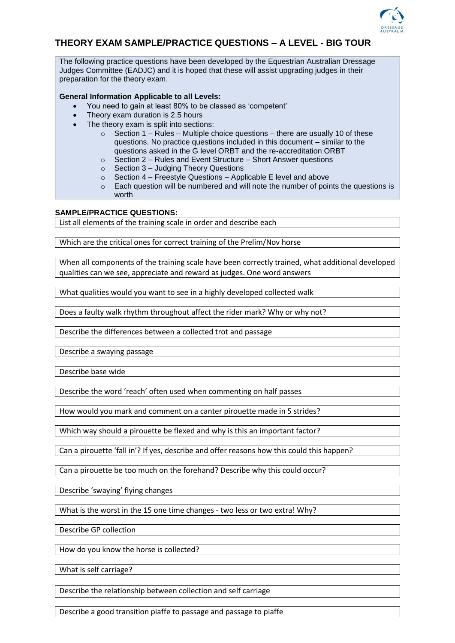

## **THEORY EXAM SAMPLE/PRACTICE QUESTIONS – A LEVEL - BIG TOUR**

The following practice questions have been developed by the Equestrian Australian Dressage Judges Committee (EADJC) and it is hoped that these will assist upgrading judges in their preparation for the theory exam.

## **General Information Applicable to all Levels:**

- You need to gain at least 80% to be classed as 'competent'
- Theory exam duration is 2.5 hours
- The theory exam is split into sections:
	- $\circ$  Section 1 Rules Multiple choice questions there are usually 10 of these questions. No practice questions included in this document – similar to the questions asked in the G level ORBT and the re-accreditation ORBT
	- o Section 2 Rules and Event Structure Short Answer questions
	- o Section 3 Judging Theory Questions
	- $\circ$  Section 4 Freestyle Questions Applicable E level and above
	- $\circ$  Each question will be numbered and will note the number of points the questions is worth

## **SAMPLE/PRACTICE QUESTIONS:**

List all elements of the training scale in order and describe each

Which are the critical ones for correct training of the Prelim/Nov horse

When all components of the training scale have been correctly trained, what additional developed qualities can we see, appreciate and reward as judges. One word answers

What qualities would you want to see in a highly developed collected walk

Does a faulty walk rhythm throughout affect the rider mark? Why or why not?

Describe the differences between a collected trot and passage

Describe a swaying passage

Describe base wide

Describe the word 'reach' often used when commenting on half passes

How would you mark and comment on a canter pirouette made in 5 strides?

Which way should a pirouette be flexed and why is this an important factor?

Can a pirouette 'fall in'? If yes, describe and offer reasons how this could this happen?

Can a pirouette be too much on the forehand? Describe why this could occur?

Describe 'swaying' flying changes

What is the worst in the 15 one time changes - two less or two extra! Why?

Describe GP collection

How do you know the horse is collected?

What is self carriage?

Describe the relationship between collection and self carriage

Describe a good transition piaffe to passage and passage to piaffe